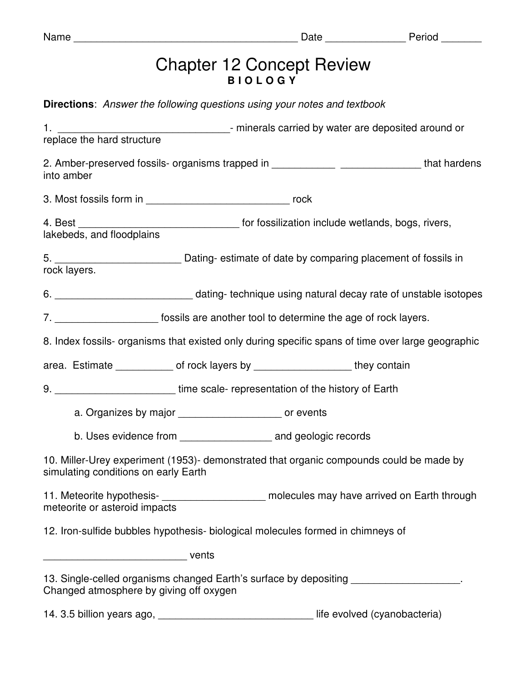| am<br>u |  |
|---------|--|
|---------|--|

## Chapter 12 Concept Review **B I O L O G Y**

|                                         | <b>Directions:</b> Answer the following questions using your notes and textbook  |                                                                                                                        |
|-----------------------------------------|----------------------------------------------------------------------------------|------------------------------------------------------------------------------------------------------------------------|
|                                         |                                                                                  |                                                                                                                        |
| into amber                              |                                                                                  | 2. Amber-preserved fossils- organisms trapped in ________________________________that hardens                          |
|                                         |                                                                                  |                                                                                                                        |
|                                         |                                                                                  | 4. Best __________________________________ for fossilization include wetlands, bogs, rivers, lakebeds, and floodplains |
| rock layers.                            |                                                                                  |                                                                                                                        |
|                                         |                                                                                  |                                                                                                                        |
|                                         |                                                                                  | 7. _________________________ fossils are another tool to determine the age of rock layers.                             |
|                                         |                                                                                  | 8. Index fossils- organisms that existed only during specific spans of time over large geographic                      |
|                                         |                                                                                  | area. Estimate ______________ of rock layers by _______________________they contain                                    |
|                                         | 9. ___________________________time scale- representation of the history of Earth |                                                                                                                        |
|                                         | a. Organizes by major ________________________ or events                         |                                                                                                                        |
|                                         |                                                                                  |                                                                                                                        |
| simulating conditions on early Earth    |                                                                                  | 10. Miller-Urey experiment (1953)- demonstrated that organic compounds could be made by                                |
| meteorite or asteroid impacts           |                                                                                  | 11. Meteorite hypothesis- <b>___________________</b> molecules may have arrived on Earth through                       |
|                                         | 12. Iron-sulfide bubbles hypothesis- biological molecules formed in chimneys of  |                                                                                                                        |
| <b>vents</b> vents                      |                                                                                  |                                                                                                                        |
| Changed atmosphere by giving off oxygen |                                                                                  | 13. Single-celled organisms changed Earth's surface by depositing __________________.                                  |

14. 3.5 billion years ago, \_\_\_\_\_\_\_\_\_\_\_\_\_\_\_\_\_\_\_\_\_\_\_\_\_\_\_\_\_\_\_\_\_\_ life evolved (cyanobacteria)